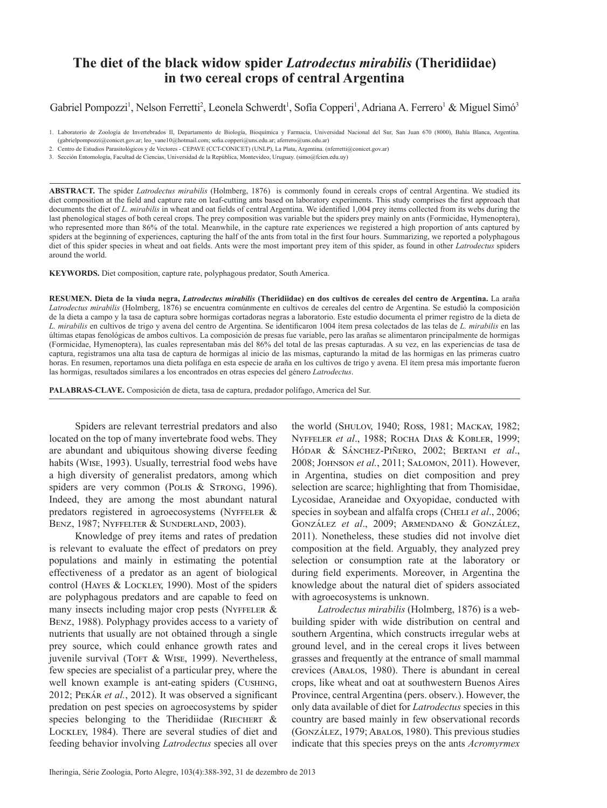# **The diet of the black widow spider** *Latrodectus mirabilis* **(Theridiidae) in two cereal crops of central Argentina**

## Gabriel Pompozzi<sup>1</sup>, Nelson Ferretti<sup>2</sup>, Leonela Schwerdt<sup>1</sup>, Sofía Copperi<sup>1</sup>, Adriana A. Ferrero<sup>1</sup> & Miguel Simó<sup>3</sup>

3. Sección Entomología, Facultad de Ciencias, Universidad de la República, Montevideo, Uruguay. (simo@fcien.edu.uy)

**ABSTRACT.** The spider *Latrodectus mirabilis* (Holmberg, 1876) is commonly found in cereals crops of central Argentina. We studied its diet composition at the field and capture rate on leaf-cutting ants based on laboratory experiments. This study comprises the first approach that documents the diet of *L. mirabilis* in wheat and oat fields of central Argentina. We identified 1,004 prey items collected from its webs during the last phenological stages of both cereal crops. The prey composition was variable but the spiders prey mainly on ants (Formicidae, Hymenoptera), who represented more than 86% of the total. Meanwhile, in the capture rate experiences we registered a high proportion of ants captured by spiders at the beginning of experiences, capturing the half of the ants from total in the first four hours. Summarizing, we reported a polyphagous diet of this spider species in wheat and oat fields. Ants were the most important prey item of this spider, as found in other *Latrodectus* spiders around the world.

**KEYWORDS.** Diet composition, capture rate, polyphagous predator, South America.

**RESUMEN. Dieta de la viuda negra,** *Latrodectus mirabilis* **(Theridiidae) en dos cultivos de cereales del centro de Argentina.** La araña *Latrodectus mirabilis* (Holmberg, 1876) se encuentra comúnmente en cultivos de cereales del centro de Argentina. Se estudió la composición de la dieta a campo y la tasa de captura sobre hormigas cortadoras negras a laboratorio. Este estudio documenta el primer registro de la dieta de *L. mirabilis* en cultivos de trigo y avena del centro de Argentina. Se identificaron 1004 ítem presa colectados de las telas de *L. mirabilis* en las últimas etapas fenológicas de ambos cultivos. La composición de presas fue variable, pero las arañas se alimentaron principalmente de hormigas (Formicidae, Hymenoptera), las cuales representaban más del 86% del total de las presas capturadas. A su vez, en las experiencias de tasa de captura, registramos una alta tasa de captura de hormigas al inicio de las mismas, capturando la mitad de las hormigas en las primeras cuatro horas. En resumen, reportamos una dieta polífaga en esta especie de araña en los cultivos de trigo y avena. El ítem presa más importante fueron las hormigas, resultados similares a los encontrados en otras especies del género *Latrodectus*.

**PALABRAS-CLAVE.** Composición de dieta, tasa de captura, predador polífago, America del Sur.

Spiders are relevant terrestrial predators and also located on the top of many invertebrate food webs. They are abundant and ubiquitous showing diverse feeding habits (Wise, 1993). Usually, terrestrial food webs have a high diversity of generalist predators, among which spiders are very common (Polis & STRONG, 1996). Indeed, they are among the most abundant natural predators registered in agroecosystems (NYFFELER  $&$ BENZ, 1987; NYFFELTER & SUNDERLAND, 2003).

Knowledge of prey items and rates of predation is relevant to evaluate the effect of predators on prey populations and mainly in estimating the potential effectiveness of a predator as an agent of biological control (Hayes & Lockley, 1990). Most of the spiders are polyphagous predators and are capable to feed on many insects including major crop pests (NYFFELER  $&$ Benz, 1988). Polyphagy provides access to a variety of nutrients that usually are not obtained through a single prey source, which could enhance growth rates and juvenile survival (Tort & Wise, 1999). Nevertheless, few species are specialist of a particular prey, where the well known example is ant-eating spiders (Cushing, 2012; Pekár *et al.*, 2012). It was observed a significant predation on pest species on agroecosystems by spider species belonging to the Theridiidae (RIECHERT  $\&$ Lockley, 1984). There are several studies of diet and feeding behavior involving *Latrodectus* species all over the world (Shulov, 1940; Ross, 1981; Mackay, 1982; Nyffeler *et al*., 1988; Rocha Dias & Kobler, 1999; Hódar & Sánchez-Piñero, 2002; Bertani *et al*., 2008; Johnson *et al.*, 2011; Salomon, 2011). However, in Argentina, studies on diet composition and prey selection are scarce; highlighting that from Thomisidae, Lycosidae, Araneidae and Oxyopidae, conducted with species in soybean and alfalfa crops (CHELI *et al.*, 2006; González *et al*., 2009; Armendano & González, 2011). Nonetheless, these studies did not involve diet composition at the field. Arguably, they analyzed prey selection or consumption rate at the laboratory or during field experiments. Moreover, in Argentina the knowledge about the natural diet of spiders associated with agroecosystems is unknown.

*Latrodectus mirabilis* (Holmberg, 1876) is a webbuilding spider with wide distribution on central and southern Argentina, which constructs irregular webs at ground level, and in the cereal crops it lives between grasses and frequently at the entrance of small mammal crevices (Abalos, 1980). There is abundant in cereal crops, like wheat and oat at southwestern Buenos Aires Province, central Argentina (pers. observ.). However, the only data available of diet for *Latrodectus* species in this country are based mainly in few observational records (González, 1979; Abalos, 1980). This previous studies indicate that this species preys on the ants *Acromyrmex*

<sup>1.</sup> Laboratorio de Zoología de Invertebrados II, Departamento de Biología, Bioquímica y Farmacia, Universidad Nacional del Sur, San Juan 670 (8000), Bahía Blanca, Argentina. (gabrielpompozzi@conicet.gov.ar; leo\_vane10@hotmail.com; sofia.copperi@uns.edu.ar; aferrero@uns.edu.ar)

<sup>2.</sup> Centro de Estudios Parasitológicos y de Vectores - CEPAVE (CCT-CONICET) (UNLP), La Plata, Argentina. (nferretti@conicet.gov.ar)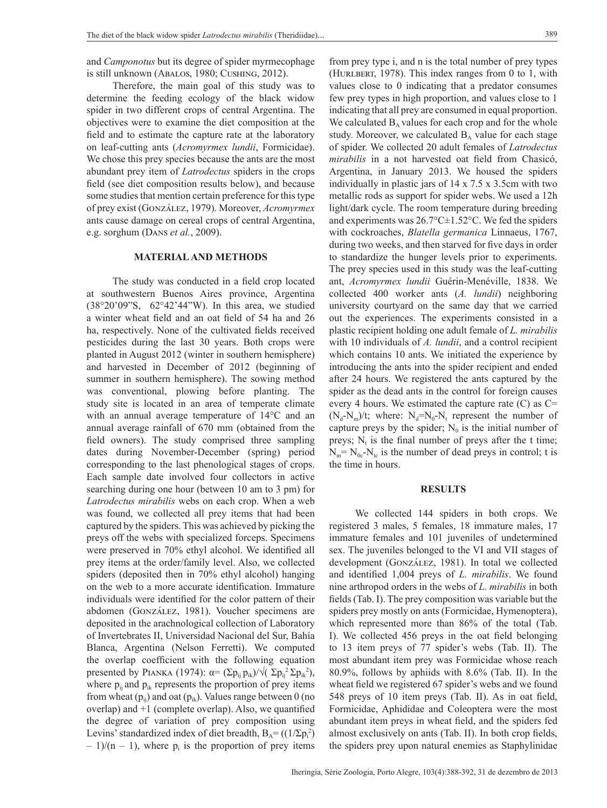and *Camponotus* but its degree of spider myrmecophage is still unknown (Abalos, 1980; Cushing, 2012).

Therefore, the main goal of this study was to determine the feeding ecology of the black widow spider in two different crops of central Argentina. The objectives were to examine the diet composition at the field and to estimate the capture rate at the laboratory on leaf-cutting ants (*Acromyrmex lundii*, Formicidae). We chose this prey species because the ants are the most abundant prey item of *Latrodectus* spiders in the crops field (see diet composition results below), and because some studies that mention certain preference for this type of prey exist (González, 1979). Moreover, *Acromyrmex* ants cause damage on cereal crops of central Argentina, e.g. sorghum (Dans *et al.*, 2009).

### **MATERIAL AND METHODS**

The study was conducted in a field crop located at southwestern Buenos Aires province, Argentina (38°20'09"S, 62°42'44"W). In this area, we studied a winter wheat field and an oat field of 54 ha and 26 ha, respectively. None of the cultivated fields received pesticides during the last 30 years. Both crops were planted in August 2012 (winter in southern hemisphere) and harvested in December of 2012 (beginning of summer in southern hemisphere). The sowing method was conventional, plowing before planting. The study site is located in an area of temperate climate with an annual average temperature of 14°C and an annual average rainfall of 670 mm (obtained from the field owners). The study comprised three sampling dates during November-December (spring) period corresponding to the last phenological stages of crops. Each sample date involved four collectors in active searching during one hour (between 10 am to 3 pm) for *Latrodectus mirabilis* webs on each crop. When a web was found, we collected all prey items that had been captured by the spiders. This was achieved by picking the preys off the webs with specialized forceps. Specimens were preserved in 70% ethyl alcohol. We identified all prey items at the order/family level. Also, we collected spiders (deposited then in 70% ethyl alcohol) hanging on the web to a more accurate identification. Immature individuals were identified for the color pattern of their abdomen (González, 1981). Voucher specimens are deposited in the arachnological collection of Laboratory of Invertebrates II, Universidad Nacional del Sur, Bahía Blanca, Argentina (Nelson Ferretti). We computed the overlap coefficient with the following equation presented by PIANKA (1974):  $\alpha = (\Sigma p_{ij} p_{ik}) / \sqrt{(\Sigma p_{ij}^2 \Sigma p_{ik}^2)}$ , where  $p_{ii}$  and  $p_{ik}$  represents the proportion of prey items from wheat  $(p_{ii})$  and oat  $(p_{ik})$ . Values range between 0 (no overlap) and +1 (complete overlap). Also, we quantified the degree of variation of prey composition using Levins' standardized index of diet breadth,  $B_A = ((1/\Sigma p_i^2))$  $-1/(n-1)$ , where  $p_i$  is the proportion of prey items from prey type i, and n is the total number of prey types (HURLBERT, 1978). This index ranges from 0 to 1, with values close to 0 indicating that a predator consumes few prey types in high proportion, and values close to 1 indicating that all prey are consumed in equal proportion. We calculated  $B_A$  values for each crop and for the whole study. Moreover, we calculated  $B_A$  value for each stage of spider. We collected 20 adult females of *Latrodectus mirabilis* in a not harvested oat field from Chasicó, Argentina, in January 2013. We housed the spiders individually in plastic jars of 14 x 7.5 x 3.5cm with two metallic rods as support for spider webs. We used a 12h light/dark cycle. The room temperature during breeding and experiments was 26.7°C±1.52°C. We fed the spiders with cockroaches, *Blatella germanica* Linnaeus, 1767, during two weeks, and then starved for five days in order to standardize the hunger levels prior to experiments. The prey species used in this study was the leaf-cutting ant, *Acromyrmex lundii* Guérin-Menéville, 1838. We collected 400 worker ants (*A. lundii*) neighboring university courtyard on the same day that we carried out the experiences. The experiments consisted in a plastic recipient holding one adult female of *L. mirabilis* with 10 individuals of *A. lundii*, and a control recipient which contains 10 ants. We initiated the experience by introducing the ants into the spider recipient and ended after 24 hours. We registered the ants captured by the spider as the dead ants in the control for foreign causes every 4 hours. We estimated the capture rate  $(C)$  as  $C=$  $(N_d-N_m)/t$ ; where:  $N_d=N_0-N_t$  represent the number of capture preys by the spider;  $N_0$  is the initial number of preys;  $N_t$  is the final number of preys after the t time;  $N_m = N_{0c}N_{tc}$  is the number of dead preys in control; t is the time in hours.

#### **RESULTS**

We collected 144 spiders in both crops. We registered 3 males, 5 females, 18 immature males, 17 immature females and 101 juveniles of undetermined sex. The juveniles belonged to the VI and VII stages of development (González, 1981). In total we collected and identified 1,004 preys of *L. mirabilis*. We found nine arthropod orders in the webs of *L. mirabilis* in both fields (Tab. I). The prey composition was variable but the spiders prey mostly on ants (Formicidae, Hymenoptera), which represented more than 86% of the total (Tab. I). We collected 456 preys in the oat field belonging to 13 item preys of 77 spider's webs (Tab. II). The most abundant item prey was Formicidae whose reach 80.9%, follows by aphiids with 8.6% (Tab. II). In the wheat field we registered 67 spider's webs and we found 548 preys of 10 item preys (Tab. II). As in oat field, Formicidae, Aphididae and Coleoptera were the most abundant item preys in wheat field, and the spiders fed almost exclusively on ants (Tab. II). In both crop fields, the spiders prey upon natural enemies as Staphylinidae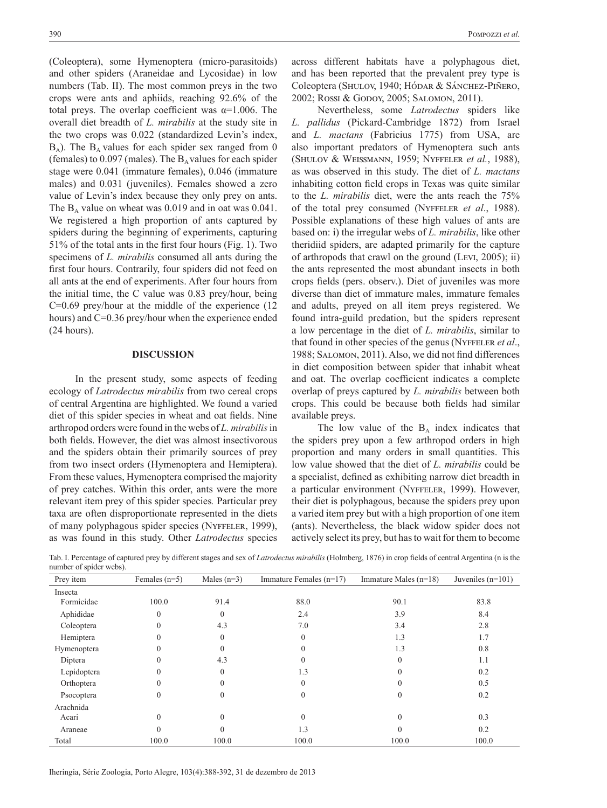(Coleoptera), some Hymenoptera (micro-parasitoids) and other spiders (Araneidae and Lycosidae) in low numbers (Tab. II). The most common preys in the two crops were ants and aphiids, reaching 92.6% of the total preys. The overlap coefficient was  $\alpha$ =1.006. The overall diet breadth of *L. mirabilis* at the study site in the two crops was 0.022 (standardized Levin's index,  $B_A$ ). The  $B_A$  values for each spider sex ranged from 0 (females) to  $0.097$  (males). The  $B_A$  values for each spider stage were 0.041 (immature females), 0.046 (immature males) and 0.031 (juveniles). Females showed a zero value of Levin's index because they only prey on ants. The  $B_A$  value on wheat was 0.019 and in oat was 0.041. We registered a high proportion of ants captured by spiders during the beginning of experiments, capturing 51% of the total ants in the first four hours (Fig. 1). Two specimens of *L. mirabilis* consumed all ants during the first four hours. Contrarily, four spiders did not feed on all ants at the end of experiments. After four hours from the initial time, the C value was 0.83 prey/hour, being C=0.69 prey/hour at the middle of the experience (12 hours) and C=0.36 prey/hour when the experience ended (24 hours).

#### **DISCUSSION**

In the present study, some aspects of feeding ecology of *Latrodectus mirabilis* from two cereal crops of central Argentina are highlighted. We found a varied diet of this spider species in wheat and oat fields. Nine arthropod orders were found in the webs of *L. mirabilis* in both fields. However, the diet was almost insectivorous and the spiders obtain their primarily sources of prey from two insect orders (Hymenoptera and Hemiptera). From these values, Hymenoptera comprised the majority of prey catches. Within this order, ants were the more relevant item prey of this spider species*.* Particular prey taxa are often disproportionate represented in the diets of many polyphagous spider species (Nyffeler, 1999), as was found in this study. Other *Latrodectus* species

across different habitats have a polyphagous diet, and has been reported that the prevalent prey type is Coleoptera (Shulov, 1940; Hódar & Sánchez-Piñero, 2002; Rossi & Godoy, 2005; Salomon, 2011).

Nevertheless, some *Latrodectus* spiders like *L. pallidus* (Pickard-Cambridge 1872) from Israel and *L. mactans* (Fabricius 1775) from USA, are also important predators of Hymenoptera such ants (Shulov & Weissmann, 1959; Nyffeler *et al.*, 1988), as was observed in this study. The diet of *L. mactans* inhabiting cotton field crops in Texas was quite similar to the *L. mirabilis* diet, were the ants reach the 75% of the total prey consumed (Nyffeler *et al*., 1988). Possible explanations of these high values of ants are based on: i) the irregular webs of *L. mirabilis*, like other theridiid spiders, are adapted primarily for the capture of arthropods that crawl on the ground (Levi, 2005); ii) the ants represented the most abundant insects in both crops fields (pers. observ.). Diet of juveniles was more diverse than diet of immature males, immature females and adults, preyed on all item preys registered. We found intra-guild predation, but the spiders represent a low percentage in the diet of *L. mirabilis*, similar to that found in other species of the genus (NYFFELER *et al.*, 1988; Salomon, 2011). Also, we did not find differences in diet composition between spider that inhabit wheat and oat. The overlap coefficient indicates a complete overlap of preys captured by *L. mirabilis* between both crops. This could be because both fields had similar available preys.

The low value of the  $B_A$  index indicates that the spiders prey upon a few arthropod orders in high proportion and many orders in small quantities. This low value showed that the diet of *L. mirabilis* could be a specialist, defined as exhibiting narrow diet breadth in a particular environment (Nyffeler, 1999). However, their diet is polyphagous, because the spiders prey upon a varied item prey but with a high proportion of one item (ants). Nevertheless, the black widow spider does not actively select its prey, but has to wait for them to become

Tab. I. Percentage of captured prey by different stages and sex of *Latrodectus mirabilis* (Holmberg, 1876) in crop fields of central Argentina (n is the number of spider webs).

| Prey item   | Females $(n=5)$ | Males $(n=3)$ | Immature Females $(n=17)$ | Immature Males $(n=18)$ | Juveniles $(n=101)$ |
|-------------|-----------------|---------------|---------------------------|-------------------------|---------------------|
| Insecta     |                 |               |                           |                         |                     |
| Formicidae  | 100.0           | 91.4          | 88.0                      | 90.1                    | 83.8                |
| Aphididae   | $\theta$        | $\Omega$      | 2.4                       | 3.9                     | 8.4                 |
| Coleoptera  | 0               | 4.3           | 7.0                       | 3.4                     | 2.8                 |
| Hemiptera   |                 | $\theta$      | $\theta$                  | 1.3                     | 1.7                 |
| Hymenoptera |                 | $\theta$      | $\theta$                  | 1.3                     | 0.8                 |
| Diptera     | 0               | 4.3           | $\Omega$                  | $\Omega$                | 1.1                 |
| Lepidoptera | 0               | $\theta$      | 1.3                       |                         | 0.2                 |
| Orthoptera  | $\Omega$        | $\theta$      | $\theta$                  | 0                       | 0.5                 |
| Psocoptera  | $\Omega$        | $\theta$      | 0                         | $\theta$                | 0.2                 |
| Arachnida   |                 |               |                           |                         |                     |
| Acari       | $\Omega$        | $\theta$      | $\theta$                  | $\Omega$                | 0.3                 |
| Araneae     |                 | $\theta$      | 1.3                       |                         | 0.2                 |
| Total       | 100.0           | 100.0         | 100.0                     | 100.0                   | 100.0               |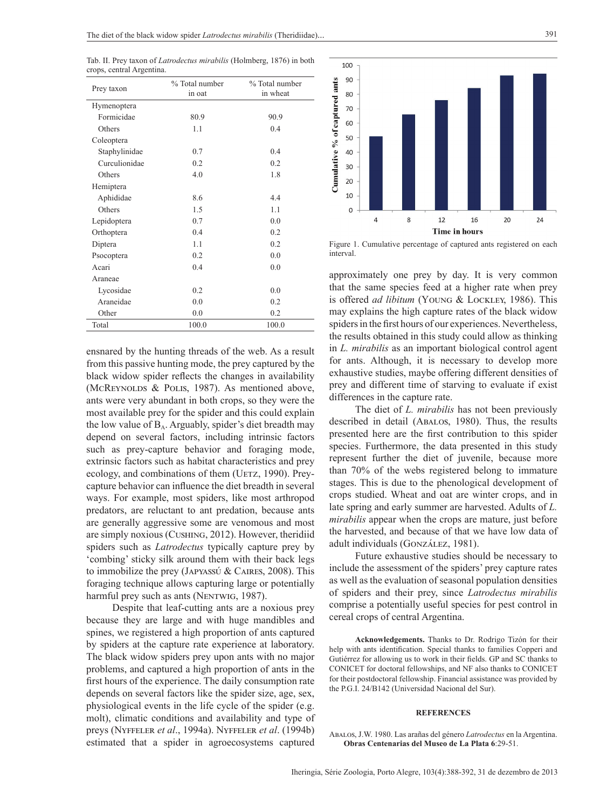Tab. II. Prey taxon of *Latrodectus mirabilis* (Holmberg, 1876) in both crops, central Argentina.

| Prey taxon    | % Total number<br>in oat | % Total number<br>in wheat |  |
|---------------|--------------------------|----------------------------|--|
| Hymenoptera   |                          |                            |  |
| Formicidae    | 80.9                     | 90.9                       |  |
| Others        | 1.1                      | 0.4                        |  |
| Coleoptera    |                          |                            |  |
| Staphylinidae | 0.7                      | 0 <sub>4</sub>             |  |
| Curculionidae | 0.2                      | 0.2                        |  |
| Others        | 4.0                      | 1.8                        |  |
| Hemiptera     |                          |                            |  |
| Aphididae     | 8.6                      | 44                         |  |
| Others        | 1.5                      | 1.1                        |  |
| Lepidoptera   | 0.7                      | 0.0                        |  |
| Orthoptera    | 0.4                      | 0.2                        |  |
| Diptera       | 1 <sub>1</sub>           | 02                         |  |
| Psocoptera    | 0.2                      | 0.0                        |  |
| Acari         | 0.4                      | 0.0                        |  |
| Araneae       |                          |                            |  |
| Lycosidae     | 0.2                      | 0.0                        |  |
| Araneidae     | 0.0                      | 0.2                        |  |
| Other         | 0.0                      | 0.2                        |  |
| Total         | 100.0                    | 100.0                      |  |

ensnared by the hunting threads of the web. As a result from this passive hunting mode, the prey captured by the black widow spider reflects the changes in availability (McREYNOLDS & POLIS, 1987). As mentioned above, ants were very abundant in both crops, so they were the most available prey for the spider and this could explain the low value of  $B_A$ . Arguably, spider's diet breadth may depend on several factors, including intrinsic factors such as prey-capture behavior and foraging mode, extrinsic factors such as habitat characteristics and prey ecology, and combinations of them (UETZ, 1990). Preycapture behavior can influence the diet breadth in several ways. For example, most spiders, like most arthropod predators, are reluctant to ant predation, because ants are generally aggressive some are venomous and most are simply noxious (Cushing, 2012). However, theridiid spiders such as *Latrodectus* typically capture prey by 'combing' sticky silk around them with their back legs to immobilize the prey (Japyassú & Caires, 2008). This foraging technique allows capturing large or potentially harmful prey such as ants (NENTWIG, 1987).

Despite that leaf-cutting ants are a noxious prey because they are large and with huge mandibles and spines, we registered a high proportion of ants captured by spiders at the capture rate experience at laboratory. The black widow spiders prey upon ants with no major problems, and captured a high proportion of ants in the first hours of the experience. The daily consumption rate depends on several factors like the spider size, age, sex, physiological events in the life cycle of the spider (e.g. molt), climatic conditions and availability and type of preys (Nyffeler *et al*., 1994a). Nyffeler *et al*. (1994b) estimated that a spider in agroecosystems captured



Figure 1. Cumulative percentage of captured ants registered on each interval.

approximately one prey by day. It is very common that the same species feed at a higher rate when prey is offered *ad libitum* (Young & Lockley, 1986). This may explains the high capture rates of the black widow spiders in the first hours of our experiences. Nevertheless, the results obtained in this study could allow as thinking in *L. mirabilis* as an important biological control agent for ants. Although, it is necessary to develop more exhaustive studies, maybe offering different densities of prey and different time of starving to evaluate if exist differences in the capture rate.

The diet of *L. mirabilis* has not been previously described in detail (Abalos, 1980). Thus, the results presented here are the first contribution to this spider species. Furthermore, the data presented in this study represent further the diet of juvenile, because more than 70% of the webs registered belong to immature stages. This is due to the phenological development of crops studied. Wheat and oat are winter crops, and in late spring and early summer are harvested. Adults of *L. mirabilis* appear when the crops are mature, just before the harvested, and because of that we have low data of adult individuals (González, 1981).

Future exhaustive studies should be necessary to include the assessment of the spiders' prey capture rates as well as the evaluation of seasonal population densities of spiders and their prey, since *Latrodectus mirabilis* comprise a potentially useful species for pest control in cereal crops of central Argentina.

**Acknowledgements.** Thanks to Dr. Rodrigo Tizón for their help with ants identification. Special thanks to families Copperi and Gutiérrez for allowing us to work in their fields. GP and SC thanks to CONICET for doctoral fellowships, and NF also thanks to CONICET for their postdoctoral fellowship. Financial assistance was provided by the P.G.I. 24/B142 (Universidad Nacional del Sur).

#### **REFERENCES**

Abalos, J.W. 1980. Las arañas del género *Latrodectus* en la Argentina. **Obras Centenarias del Museo de La Plata 6**:29-51.